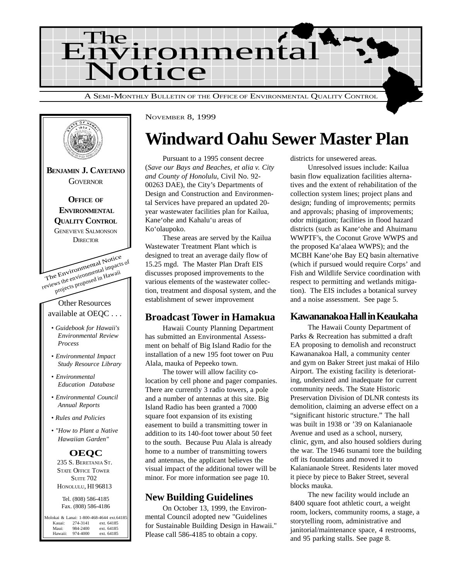



## **Windward Oahu Sewer Master Plan**

Pursuant to a 1995 consent decree (*Save our Bays and Beaches, et alia v. City and County of Honolulu*, Civil No. 92- 00263 DAE), the City's Departments of Design and Construction and Environmental Services have prepared an updated 20 year wastewater facilities plan for Kailua, Kane'ohe and Kahalu'u areas of Ko'olaupoko.

These areas are served by the Kailua Wastewater Treatment Plant which is designed to treat an average daily flow of 15.25 mgd. The Master Plan Draft EIS discusses proposed improvements to the various elements of the wastewater collection, treatment and disposal system, and the establishment of sewer improvement

#### **Broadcast Tower in Hamakua**

Hawaii County Planning Department has submitted an Environmental Assessment on behalf of Big Island Radio for the installation of a new 195 foot tower on Puu Alala, mauka of Pepeeko town.

The tower will allow facility colocation by cell phone and pager companies. There are currently 3 radio towers, a pole and a number of antennas at this site. Big Island Radio has been granted a 7000 square foot expansion of its existing easement to build a transmitting tower in addition to its 140-foot tower about 50 feet to the south. Because Puu Alala is already home to a number of transmitting towers and antennas, the applicant believes the visual impact of the additional tower will be minor. For more information see page 10.

#### **New Building Guidelines**

On October 13, 1999, the Environmental Council adopted new "Guidelines for Sustainable Building Design in Hawaii." Please call 586-4185 to obtain a copy.

districts for unsewered areas.

Unresolved issues include: Kailua basin flow equalization facilities alternatives and the extent of rehabilitation of the collection system lines; project plans and design; funding of improvements; permits and approvals; phasing of improvements; odor mitigation; facilities in flood hazard districts (such as Kane'ohe and Ahuimanu WWPTF's, the Coconut Grove WWPS and the proposed Ka'alaea WWPS); and the MCBH Kane'ohe Bay EQ basin alternative (which if pursued would require Corps' and Fish and Wildlife Service coordination with respect to permitting and wetlands mitigation). The EIS includes a botanical survey and a noise assessment. See page 5.

#### **Kawananakoa Hall in Keaukaha**

The Hawaii County Department of Parks & Recreation has submitted a draft EA proposing to demolish and reconstruct Kawananakoa Hall, a community center and gym on Baker Street just makai of Hilo Airport. The existing facility is deteriorating, undersized and inadequate for current community needs. The State Historic Preservation Division of DLNR contests its demolition, claiming an adverse effect on a "significant historic structure." The hall was built in 1938 or '39 on Kalanianaole Avenue and used as a school, nursery, clinic, gym, and also housed soldiers during the war. The 1946 tsunami tore the building off its foundations and moved it to Kalanianaole Street. Residents later moved it piece by piece to Baker Street, several blocks mauka.

The new facility would include an 8400 square foot athletic court, a weight room, lockers, community rooms, a stage, a storytelling room, administrative and janitorial/maintenance space, 4 restrooms, and 95 parking stalls. See page 8.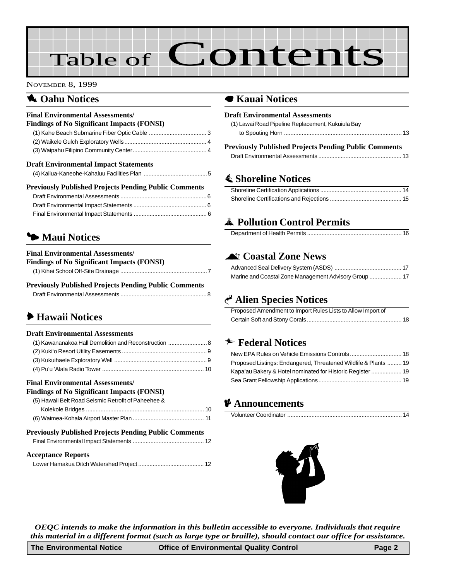# Table of Contents

#### NOVEMBER 8, 1999

#### **1** Oahu Notices

| <b>Final Environmental Assessments/</b>                      |  |
|--------------------------------------------------------------|--|
| <b>Findings of No Significant Impacts (FONSI)</b>            |  |
|                                                              |  |
|                                                              |  |
|                                                              |  |
| <b>Draft Environmental Impact Statements</b>                 |  |
| <b>Previously Published Projects Pending Public Comments</b> |  |
|                                                              |  |
|                                                              |  |
|                                                              |  |

#### 3 **Maui Notices**

| <b>Final Environmental Assessments/</b>           |
|---------------------------------------------------|
| <b>Findings of No Significant Impacts (FONSI)</b> |
|                                                   |

| <b>Previously Published Projects Pending Public Comments</b> |  |
|--------------------------------------------------------------|--|
|                                                              |  |

### 6 **Hawaii Notices**

#### **Draft Environmental Assessments**

| (1) Kawananakoa Hall Demolition and Reconstruction  8 |  |
|-------------------------------------------------------|--|
|                                                       |  |
|                                                       |  |
|                                                       |  |

#### **Final Environmental Assessments/**

#### **Findings of No Significant Impacts (FONSI)**

| (5) Hawaii Belt Road Seismic Retrofit of Paheehee & |  |
|-----------------------------------------------------|--|
|                                                     |  |
|                                                     |  |

#### **Previously Published Projects Pending Public Comments**

| <b>Acceptance Reports</b> |  |
|---------------------------|--|
|                           |  |

#### 7 **Kauai Notices**

| <b>Draft Environmental Assessments</b>                       |  |
|--------------------------------------------------------------|--|
| (1) Lawai Road Pipeline Replacement, Kukujula Bay            |  |
|                                                              |  |
| <b>Previously Published Projects Pending Public Comments</b> |  |
|                                                              |  |
| <b>≰ Shoreline Notices</b>                                   |  |

#### Shoreline Certification Applications ................................................... 14 [Shoreline Certifications and Rejections ............................................. 15](#page-14-0)

#### V **Pollution Control Permits**

|--|

#### ^ **[Coastal Zone News](#page-16-0)**

#### G **Alien Species Notices**

| Proposed Amendment to Import Rules Lists to Allow Import of |  |
|-------------------------------------------------------------|--|
|                                                             |  |

#### B **Federal Notices**

#### C **Announcements**

|--|--|



*OEQC intends to make the information in this bulletin accessible to everyone. Individuals that require this material in a different format (such as large type or braille), should contact our office for assistance.*

| <b>The Environmental Notice</b> | <b>Office of Environmental Quality Control</b> | Page 2 |
|---------------------------------|------------------------------------------------|--------|
|---------------------------------|------------------------------------------------|--------|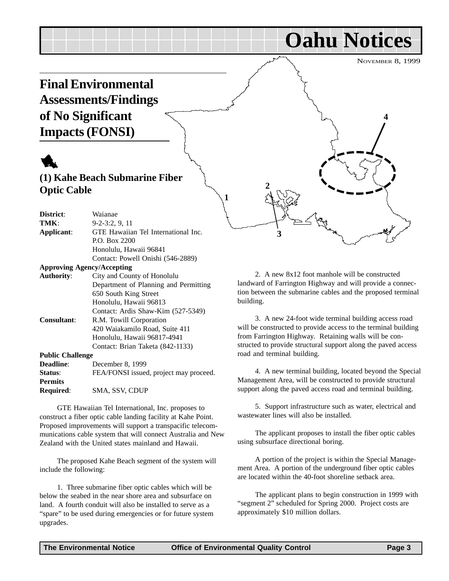## <span id="page-2-0"></span>**Final Environmental Assessments/Findings of No Significant Impacts (FONSI)**

## 1

#### **(1) Kahe Beach Submarine Fiber Optic Cable**

| District:               | Waianae                                |
|-------------------------|----------------------------------------|
| TMK:                    | $9-2-3:2, 9, 11$                       |
| Applicant:              | GTE Hawaiian Tel International Inc.    |
|                         | P.O. Box 2200                          |
|                         | Honolulu, Hawaii 96841                 |
|                         | Contact: Powell Onishi (546-2889)      |
|                         | <b>Approving Agency/Accepting</b>      |
| <b>Authority:</b>       | City and County of Honolulu            |
|                         | Department of Planning and Permitting  |
|                         | 650 South King Street                  |
|                         | Honolulu, Hawaii 96813                 |
|                         | Contact: Ardis Shaw-Kim (527-5349)     |
| Consultant:             | R.M. Towill Corporation                |
|                         | 420 Waiakamilo Road, Suite 411         |
|                         | Honolulu, Hawaii 96817-4941            |
|                         | Contact: Brian Taketa (842-1133)       |
| <b>Public Challenge</b> |                                        |
| <b>Deadline:</b>        | December 8, 1999                       |
| Status:                 | FEA/FONSI issued, project may proceed. |
| <b>Permits</b>          |                                        |
| <b>Required:</b>        | SMA, SSV, CDUP                         |

GTE Hawaiian Tel International, Inc. proposes to construct a fiber optic cable landing facility at Kahe Point. Proposed improvements will support a transpacific telecommunications cable system that will connect Australia and New Zealand with the United states mainland and Hawaii.

The proposed Kahe Beach segment of the system will include the following:

1. Three submarine fiber optic cables which will be below the seabed in the near shore area and subsurface on land. A fourth conduit will also be installed to serve as a "spare" to be used during emergencies or for future system upgrades.

**Oahu Notices**

NOVEMBER 8, 1999

**4**

2. A new 8x12 foot manhole will be constructed landward of Farrington Highway and will provide a connection between the submarine cables and the proposed terminal building.

**2**

**3**

**1**

3. A new 24-foot wide terminal building access road will be constructed to provide access to the terminal building from Farrington Highway. Retaining walls will be constructed to provide structural support along the paved access road and terminal building.

4. A new terminal building, located beyond the Special Management Area, will be constructed to provide structural support along the paved access road and terminal building.

5. Support infrastructure such as water, electrical and wastewater lines will also be installed.

The applicant proposes to install the fiber optic cables using subsurface directional boring.

A portion of the project is within the Special Management Area. A portion of the underground fiber optic cables are located within the 40-foot shoreline setback area.

The applicant plans to begin construction in 1999 with "segment 2" scheduled for Spring 2000. Project costs are approximately \$10 million dollars.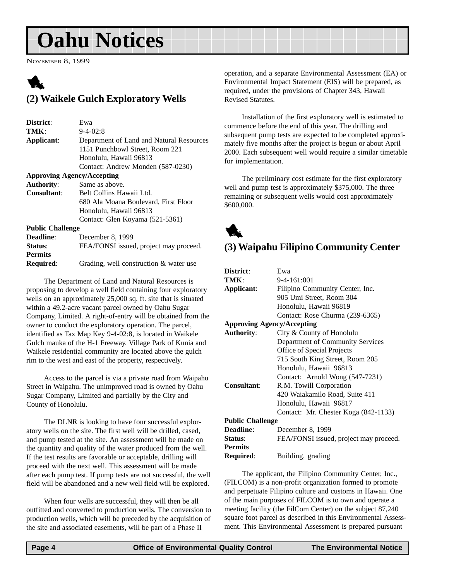## <span id="page-3-0"></span>**Oahu Notices**

NOVEMBER 8, 1999

### 1 **(2) Waikele Gulch Exploratory Wells**

| District:                         | Ewa                                      |
|-----------------------------------|------------------------------------------|
| TMK:                              | $9 - 4 - 02:8$                           |
| Applicant:                        | Department of Land and Natural Resources |
|                                   | 1151 Punchbowl Street, Room 221          |
|                                   | Honolulu, Hawaii 96813                   |
|                                   | Contact: Andrew Monden (587-0230)        |
| <b>Approving Agency/Accepting</b> |                                          |
| <b>Authority:</b>                 | Same as above.                           |
| Consultant:                       | Belt Collins Hawaii Ltd.                 |
|                                   | 680 Ala Moana Boulevard, First Floor     |
|                                   | Honolulu, Hawaii 96813                   |
|                                   | Contact: Glen Koyama (521-5361)          |
| <b>Public Challenge</b>           |                                          |
| Deadline:                         | December 8, 1999                         |
| Status:                           | FEA/FONSI issued, project may proceed.   |
| <b>Permits</b>                    |                                          |
| <b>Required:</b>                  | Grading, well construction & water use   |

The Department of Land and Natural Resources is proposing to develop a well field containing four exploratory wells on an approximately 25,000 sq. ft. site that is situated within a 49.2-acre vacant parcel owned by Oahu Sugar Company, Limited. A right-of-entry will be obtained from the owner to conduct the exploratory operation. The parcel, identified as Tax Map Key 9-4-02:8, is located in Waikele Gulch mauka of the H-1 Freeway. Village Park of Kunia and Waikele residential community are located above the gulch rim to the west and east of the property, respectively.

Access to the parcel is via a private road from Waipahu Street in Waipahu. The unimproved road is owned by Oahu Sugar Company, Limited and partially by the City and County of Honolulu.

The DLNR is looking to have four successful exploratory wells on the site. The first well will be drilled, cased, and pump tested at the site. An assessment will be made on the quantity and quality of the water produced from the well. If the test results are favorable or acceptable, drilling will proceed with the next well. This assessment will be made after each pump test. If pump tests are not successful, the well field will be abandoned and a new well field will be explored.

When four wells are successful, they will then be all outfitted and converted to production wells. The conversion to production wells, which will be preceded by the acquisition of the site and associated easements, will be part of a Phase II

operation, and a separate Environmental Assessment (EA) or Environmental Impact Statement (EIS) will be prepared, as required, under the provisions of Chapter 343, Hawaii Revised Statutes.

Installation of the first exploratory well is estimated to commence before the end of this year. The drilling and subsequent pump tests are expected to be completed approximately five months after the project is begun or about April 2000. Each subsequent well would require a similar timetable for implementation.

The preliminary cost estimate for the first exploratory well and pump test is approximately \$375,000. The three remaining or subsequent wells would cost approximately \$600,000.



#### **(3) Waipahu Filipino Community Center**

| District:                         | Ewa                                    |  |
|-----------------------------------|----------------------------------------|--|
| TMK:                              | $9-4-161:001$                          |  |
| Applicant:                        | Filipino Community Center, Inc.        |  |
|                                   | 905 Umi Street, Room 304               |  |
|                                   | Honolulu, Hawaii 96819                 |  |
|                                   | Contact: Rose Churma (239-6365)        |  |
| <b>Approving Agency/Accepting</b> |                                        |  |
| <b>Authority:</b>                 | City & County of Honolulu              |  |
|                                   | Department of Community Services       |  |
|                                   | <b>Office of Special Projects</b>      |  |
|                                   | 715 South King Street, Room 205        |  |
|                                   | Honolulu, Hawaii 96813                 |  |
|                                   | Contact: Arnold Wong (547-7231)        |  |
| Consultant:                       | R.M. Towill Corporation                |  |
|                                   | 420 Waiakamilo Road, Suite 411         |  |
|                                   | Honolulu, Hawaii 96817                 |  |
|                                   | Contact: Mr. Chester Koga (842-1133)   |  |
| <b>Public Challenge</b>           |                                        |  |
| <b>Deadline:</b>                  | December 8, 1999                       |  |
| Status:                           | FEA/FONSI issued, project may proceed. |  |
| <b>Permits</b>                    |                                        |  |
| Required:                         | Building, grading                      |  |

The applicant, the Filipino Community Center, Inc., (FILCOM) is a non-profit organization formed to promote and perpetuate Filipino culture and customs in Hawaii. One of the main purposes of FILCOM is to own and operate a meeting facility (the FilCom Center) on the subject 87,240 square foot parcel as described in this Environmental Assessment. This Environmental Assessment is prepared pursuant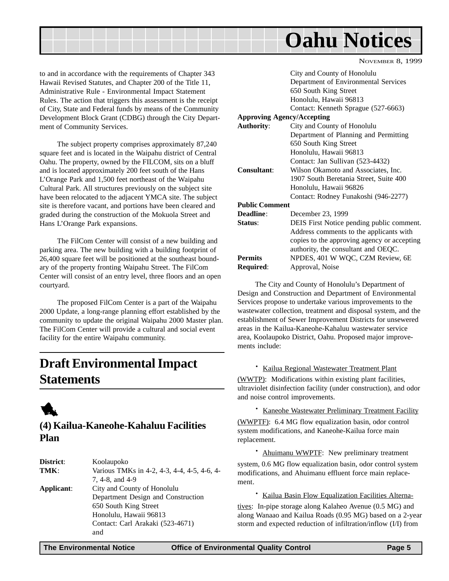<span id="page-4-0"></span>

to and in accordance with the requirements of Chapter 343 Hawaii Revised Statutes, and Chapter 200 of the Title 11, Administrative Rule - Environmental Impact Statement Rules. The action that triggers this assessment is the receipt of City, State and Federal funds by means of the Community Development Block Grant (CDBG) through the City Department of Community Services.

The subject property comprises approximately 87,240 square feet and is located in the Waipahu district of Central Oahu. The property, owned by the FILCOM, sits on a bluff and is located approximately 200 feet south of the Hans L'Orange Park and 1,500 feet northeast of the Waipahu Cultural Park. All structures previously on the subject site have been relocated to the adjacent YMCA site. The subject site is therefore vacant, and portions have been cleared and graded during the construction of the Mokuola Street and Hans L'Orange Park expansions.

The FilCom Center will consist of a new building and parking area. The new building with a building footprint of 26,400 square feet will be positioned at the southeast boundary of the property fronting Waipahu Street. The FilCom Center will consist of an entry level, three floors and an open courtyard.

The proposed FilCom Center is a part of the Waipahu 2000 Update, a long-range planning effort established by the community to update the original Waipahu 2000 Master plan. The FilCom Center will provide a cultural and social event facility for the entire Waipahu community.

### **Draft Environmental Impact Statements**



#### **(4) Kailua-Kaneohe-Kahaluu Facilities Plan**

| District:  | Koolaupoko                                  |
|------------|---------------------------------------------|
| TMK:       | Various TMKs in 4-2, 4-3, 4-4, 4-5, 4-6, 4- |
|            | 7, 4-8, and 4-9                             |
| Applicant: | City and County of Honolulu                 |
|            | Department Design and Construction          |
|            | 650 South King Street                       |
|            | Honolulu, Hawaii 96813                      |
|            | Contact: Carl Arakaki (523-4671)            |
|            | and                                         |
|            |                                             |

NOVEMBER 8, 1999

|                       | City and County of Honolulu                 |
|-----------------------|---------------------------------------------|
|                       | Department of Environmental Services        |
|                       | 650 South King Street                       |
|                       | Honolulu, Hawaii 96813                      |
|                       | Contact: Kenneth Sprague (527-6663)         |
|                       | <b>Approving Agency/Accepting</b>           |
| <b>Authority:</b>     | City and County of Honolulu                 |
|                       | Department of Planning and Permitting       |
|                       | 650 South King Street                       |
|                       | Honolulu, Hawaii 96813                      |
|                       | Contact: Jan Sullivan (523-4432)            |
| <b>Consultant:</b>    | Wilson Okamoto and Associates, Inc.         |
|                       | 1907 South Beretania Street, Suite 400      |
|                       | Honolulu, Hawaii 96826                      |
|                       | Contact: Rodney Funakoshi (946-2277)        |
| <b>Public Comment</b> |                                             |
| <b>Deadline</b> :     | December 23, 1999                           |
| <b>Status:</b>        | DEIS First Notice pending public comment.   |
|                       | Address comments to the applicants with     |
|                       | copies to the approving agency or accepting |
|                       | authority, the consultant and OEQC.         |
| Permits               | NPDES, 401 W WQC, CZM Review, 6E            |
| Required:             | Approval, Noise                             |
|                       |                                             |

The City and County of Honolulu's Department of Design and Construction and Department of Environmental Services propose to undertake various improvements to the wastewater collection, treatment and disposal system, and the establishment of Sewer Improvement Districts for unsewered areas in the Kailua-Kaneohe-Kahaluu wastewater service area, Koolaupoko District, Oahu. Proposed major improvements include:

#### · Kailua Regional Wastewater Treatment Plant

(WWTP): Modifications within existing plant facilities, ultraviolet disinfection facility (under construction), and odor and noise control improvements.

· Kaneohe Wastewater Preliminary Treatment Facility (WWPTF): 6.4 MG flow equalization basin, odor control system modifications, and Kaneohe-Kailua force main replacement.

· Ahuimanu WWPTF: New preliminary treatment system, 0.6 MG flow equalization basin, odor control system modifications, and Ahuimanu effluent force main replacement.

· Kailua Basin Flow Equalization Facilities Alterna-

tives: In-pipe storage along Kalaheo Avenue (0.5 MG) and along Wanaao and Kailua Roads (0.95 MG) based on a 2-year storm and expected reduction of infiltration/inflow (I/I) from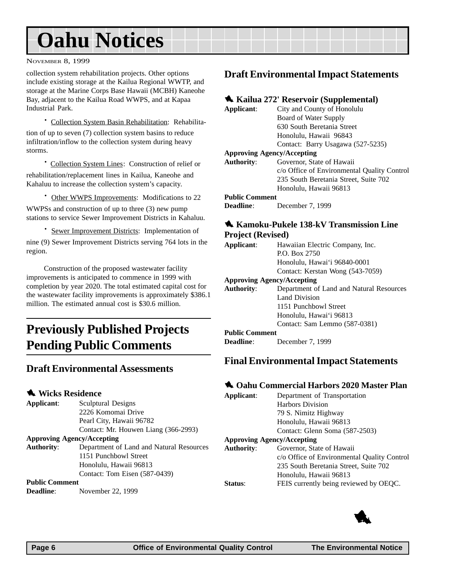## <span id="page-5-0"></span>**Oahu Notices**

NOVEMBER 8, 1999

collection system rehabilitation projects. Other options include existing storage at the Kailua Regional WWTP, and storage at the Marine Corps Base Hawaii (MCBH) Kaneohe Bay, adjacent to the Kailua Road WWPS, and at Kapaa Industrial Park.

· Collection System Basin Rehabilitation: Rehabilitation of up to seven (7) collection system basins to reduce infiltration/inflow to the collection system during heavy storms.

· Collection System Lines: Construction of relief or rehabilitation/replacement lines in Kailua, Kaneohe and Kahaluu to increase the collection system's capacity.

· Other WWPS Improvements: Modifications to 22

WWPSs and construction of up to three (3) new pump stations to service Sewer Improvement Districts in Kahaluu.

· Sewer Improvement Districts: Implementation of nine (9) Sewer Improvement Districts serving 764 lots in the region.

Construction of the proposed wastewater facility improvements is anticipated to commence in 1999 with completion by year 2020. The total estimated capital cost for the wastewater facility improvements is approximately \$386.1 million. The estimated annual cost is \$30.6 million.

### **Previously Published Projects Pending Public Comments**

#### **Draft Environmental Assessments**

#### **1** Wicks Residence

| Applicant:                        | <b>Sculptural Designs</b>                |  |
|-----------------------------------|------------------------------------------|--|
|                                   | 2226 Komomai Drive                       |  |
|                                   | Pearl City, Hawaii 96782                 |  |
|                                   | Contact: Mr. Houwen Liang (366-2993)     |  |
| <b>Approving Agency/Accepting</b> |                                          |  |
| <b>Authority:</b>                 | Department of Land and Natural Resources |  |
|                                   | 1151 Punchbowl Street                    |  |
|                                   | Honolulu, Hawaii 96813                   |  |
|                                   | Contact: Tom Eisen (587-0439)            |  |

#### **Public Comment**

**Deadline**: November 22, 1999

#### **Draft Environmental Impact Statements**

#### 1 **Kailua 272' Reservoir (Supplemental)**

| Applicant:        | City and County of Honolulu                 |
|-------------------|---------------------------------------------|
|                   | Board of Water Supply                       |
|                   | 630 South Beretania Street                  |
|                   | Honolulu, Hawaii 96843                      |
|                   | Contact: Barry Usagawa (527-5235)           |
|                   | <b>Approving Agency/Accepting</b>           |
| <b>Authority:</b> | Governor, State of Hawaii                   |
|                   | c/o Office of Environmental Quality Control |
|                   | 235 South Beretania Street, Suite 702       |
|                   | Honolulu, Hawaii 96813                      |
|                   |                                             |

#### **Public Comment**

**Deadline**: December 7, 1999

#### **1** Kamoku-Pukele 138-kV Transmission Line **Project (Revised)**

| 110                                      |  |  |
|------------------------------------------|--|--|
| Hawaiian Electric Company, Inc.          |  |  |
| P.O. Box 2750                            |  |  |
| Honolulu, Hawai'i 96840-0001             |  |  |
| Contact: Kerstan Wong (543-7059)         |  |  |
| <b>Approving Agency/Accepting</b>        |  |  |
| Department of Land and Natural Resources |  |  |
| Land Division                            |  |  |
| 1151 Punchbowl Street                    |  |  |
| Honolulu, Hawai'i 96813                  |  |  |
| Contact: Sam Lemmo (587-0381)            |  |  |
|                                          |  |  |

#### **Public Comment**

**Deadline**: December 7, 1999

#### **Final Environmental Impact Statements**

#### 1 **Oahu Commercial Harbors 2020 Master Plan**

| Applicant:                        | Department of Transportation                |
|-----------------------------------|---------------------------------------------|
|                                   | Harbors Division                            |
|                                   | 79 S. Nimitz Highway                        |
|                                   | Honolulu, Hawaii 96813                      |
|                                   | Contact: Glenn Soma (587-2503)              |
| <b>Approving Agency/Accepting</b> |                                             |
| Authority:                        | Governor, State of Hawaii                   |
|                                   | c/o Office of Environmental Quality Control |
|                                   | 235 South Beretania Street, Suite 702       |
|                                   | Honolulu, Hawaii 96813                      |
| <b>Status:</b>                    | FEIS currently being reviewed by OEQC.      |
|                                   |                                             |

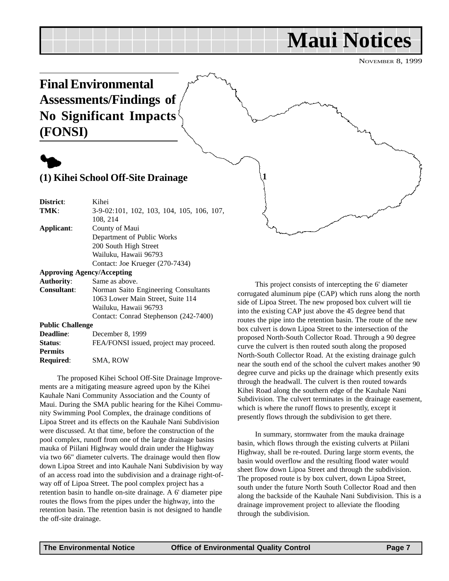## **Maui Notices**

NOVEMBER 8, 1999

<span id="page-6-0"></span>**Final Environmental Assessments/Findings of No Significant Impacts (FONSI)**



#### **(1) Kihei School Off-Site Drainage**

**District**: Kihei **TMK**: 3-9-02:101, 102, 103, 104, 105, 106, 107, 108, 214 **Applicant**: County of Maui Department of Public Works 200 South High Street Wailuku, Hawaii 96793 Contact: Joe Krueger (270-7434) **Approving Agency/Accepting**

#### **Authority**: Same as above. **Consultant**: Norman Saito Engineering Consultants 1063 Lower Main Street, Suite 114 Wailuku, Hawaii 96793 Contact: Conrad Stephenson (242-7400) **Public Challenge**

**Deadline**: December 8, 1999 **Status:** FEA/FONSI issued, project may proceed. **Permits Required**: SMA, ROW

The proposed Kihei School Off-Site Drainage Improvements are a mitigating measure agreed upon by the Kihei Kauhale Nani Community Association and the County of Maui. During the SMA public hearing for the Kihei Community Swimming Pool Complex, the drainage conditions of Lipoa Street and its effects on the Kauhale Nani Subdivision were discussed. At that time, before the construction of the pool complex, runoff from one of the large drainage basins mauka of Piilani Highway would drain under the Highway via two 66" diameter culverts. The drainage would then flow down Lipoa Street and into Kauhale Nani Subdivision by way of an access road into the subdivision and a drainage right-ofway off of Lipoa Street. The pool complex project has a retention basin to handle on-site drainage. A 6' diameter pipe routes the flows from the pipes under the highway, into the retention basin. The retention basin is not designed to handle the off-site drainage.

This project consists of intercepting the 6' diameter corrugated aluminum pipe (CAP) which runs along the north side of Lipoa Street. The new proposed box culvert will tie into the existing CAP just above the 45 degree bend that routes the pipe into the retention basin. The route of the new box culvert is down Lipoa Street to the intersection of the proposed North-South Collector Road. Through a 90 degree curve the culvert is then routed south along the proposed North-South Collector Road. At the existing drainage gulch near the south end of the school the culvert makes another 90 degree curve and picks up the drainage which presently exits through the headwall. The culvert is then routed towards Kihei Road along the southern edge of the Kauhale Nani Subdivision. The culvert terminates in the drainage easement, which is where the runoff flows to presently, except it presently flows through the subdivision to get there.

In summary, stormwater from the mauka drainage basin, which flows through the existing culverts at Piilani Highway, shall be re-routed. During large storm events, the basin would overflow and the resulting flood water would sheet flow down Lipoa Street and through the subdivision. The proposed route is by box culvert, down Lipoa Street, south under the future North South Collector Road and then along the backside of the Kauhale Nani Subdivision. This is a drainage improvement project to alleviate the flooding through the subdivision.

**1**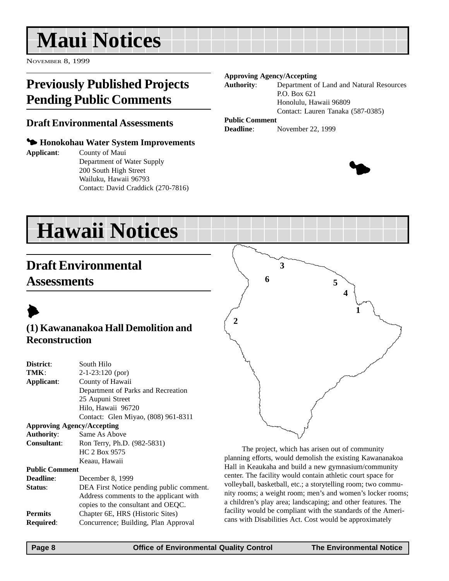## <span id="page-7-0"></span>**Maui Notices**

NOVEMBER 8, 1999

### **Previously Published Projects Pending Public Comments**

#### **Draft Environmental Assessments**

#### 3 **Honokohau Water System Improvements**

**Applicant**: County of Maui Department of Water Supply 200 South High Street Wailuku, Hawaii 96793 Contact: David Craddick (270-7816)

#### **Approving Agency/Accepting**

**Authority**: Department of Land and Natural Resources P.O. Box 621 Honolulu, Hawaii 96809 Contact: Lauren Tanaka (587-0385)

#### **Public Comment**

**Deadline**: November 22, 1999



## **Hawaii Notices**

## **Draft Environmental Assessments**



#### **(1) Kawananakoa Hall Demolition and Reconstruction**

| District:                         | South Hilo                               |  |
|-----------------------------------|------------------------------------------|--|
| TMK:                              | $2-1-23:120$ (por)                       |  |
| Applicant:                        | County of Hawaii                         |  |
|                                   | Department of Parks and Recreation       |  |
|                                   | 25 Aupuni Street                         |  |
|                                   | Hilo, Hawaii 96720                       |  |
|                                   | Contact: Glen Miyao, (808) 961-8311      |  |
| <b>Approving Agency/Accepting</b> |                                          |  |
| <b>Authority:</b>                 | Same As Above                            |  |
| <b>Consultant:</b>                | Ron Terry, Ph.D. (982-5831)              |  |
|                                   | HC 2 Box 9575                            |  |
|                                   | Keaau, Hawaii                            |  |
| <b>Public Comment</b>             |                                          |  |
| Deadline:                         | December 8, 1999                         |  |
| Status:                           | DEA First Notice pending public comment. |  |
|                                   | Address comments to the applicant with   |  |
|                                   | copies to the consultant and OEQC.       |  |
| <b>Permits</b>                    | Chapter 6E, HRS (Historic Sites)         |  |
| Required:                         | Concurrence; Building, Plan Approval     |  |
|                                   |                                          |  |



The project, which has arisen out of community planning efforts, would demolish the existing Kawananakoa Hall in Keaukaha and build a new gymnasium/community center. The facility would contain athletic court space for volleyball, basketball, etc.; a storytelling room; two community rooms; a weight room; men's and women's locker rooms; a children's play area; landscaping; and other features. The facility would be compliant with the standards of the Americans with Disabilities Act. Cost would be approximately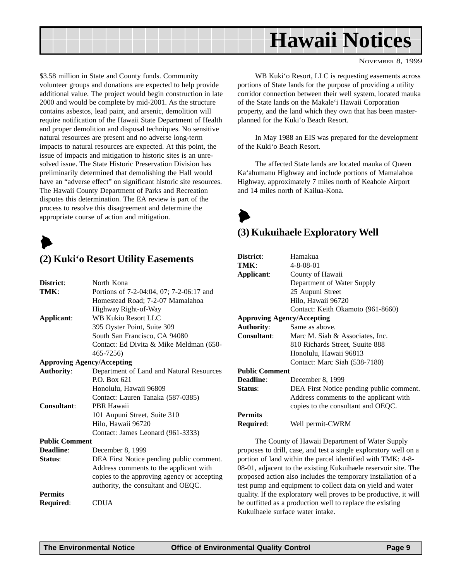<span id="page-8-0"></span>

\$3.58 million in State and County funds. Community volunteer groups and donations are expected to help provide additional value. The project would begin construction in late 2000 and would be complete by mid-2001. As the structure contains asbestos, lead paint, and arsenic, demolition will require notification of the Hawaii State Department of Health and proper demolition and disposal techniques. No sensitive natural resources are present and no adverse long-term impacts to natural resources are expected. At this point, the issue of impacts and mitigation to historic sites is an unresolved issue. The State Historic Preservation Division has preliminarily determined that demolishing the Hall would have an "adverse effect" on significant historic site resources. The Hawaii County Department of Parks and Recreation disputes this determination. The EA review is part of the process to resolve this disagreement and determine the appropriate course of action and mitigation.

 $\blacktriangleright$ 

#### **(2) Kuki'o Resort Utility Easements**

| District:                         | North Kona                                  |  |
|-----------------------------------|---------------------------------------------|--|
| TMK:                              | Portions of 7-2-04:04, 07; 7-2-06:17 and    |  |
|                                   | Homestead Road; 7-2-07 Mamalahoa            |  |
|                                   | Highway Right-of-Way                        |  |
| Applicant:                        | <b>WB Kukio Resort LLC</b>                  |  |
|                                   | 395 Oyster Point, Suite 309                 |  |
|                                   | South San Francisco, CA 94080               |  |
|                                   | Contact: Ed Divita & Mike Meldman (650-     |  |
|                                   | 465-7256)                                   |  |
| <b>Approving Agency/Accepting</b> |                                             |  |
| <b>Authority:</b>                 | Department of Land and Natural Resources    |  |
|                                   | P.O. Box 621                                |  |
|                                   | Honolulu, Hawaii 96809                      |  |
|                                   | Contact: Lauren Tanaka (587-0385)           |  |
| Consultant:                       | PBR Hawaii                                  |  |
|                                   | 101 Aupuni Street, Suite 310                |  |
|                                   | Hilo, Hawaii 96720                          |  |
|                                   | Contact: James Leonard (961-3333)           |  |
| <b>Public Comment</b>             |                                             |  |
| Deadline:                         | December 8, 1999                            |  |
| Status:                           | DEA First Notice pending public comment.    |  |
|                                   | Address comments to the applicant with      |  |
|                                   | copies to the approving agency or accepting |  |
|                                   | authority, the consultant and OEQC.         |  |
| <b>Permits</b>                    |                                             |  |
| Required:                         | <b>CDUA</b>                                 |  |

WB Kuki'o Resort, LLC is requesting easements across portions of State lands for the purpose of providing a utility corridor connection between their well system, located mauka of the State lands on the Makale'i Hawaii Corporation property, and the land which they own that has been masterplanned for the Kuki'o Beach Resort.

In May 1988 an EIS was prepared for the development of the Kuki'o Beach Resort.

The affected State lands are located mauka of Queen Ka'ahumanu Highway and include portions of Mamalahoa Highway, approximately 7 miles north of Keahole Airport and 14 miles north of Kailua-Kona.

 $\blacktriangleright$ 

#### **(3) Kukuihaele Exploratory Well**

| District:                                             | Hamakua                                  |  |  |
|-------------------------------------------------------|------------------------------------------|--|--|
| TMK:                                                  | $4 - 8 - 08 - 01$                        |  |  |
| Applicant:                                            | County of Hawaii                         |  |  |
|                                                       | Department of Water Supply               |  |  |
| 25 Aupuni Street                                      |                                          |  |  |
|                                                       | Hilo, Hawaii 96720                       |  |  |
|                                                       | Contact: Keith Okamoto (961-8660)        |  |  |
| <b>Approving Agency/Accepting</b>                     |                                          |  |  |
| <b>Authority:</b>                                     | Same as above.                           |  |  |
| <b>Consultant:</b><br>Marc M. Siah & Associates, Inc. |                                          |  |  |
|                                                       | 810 Richards Street, Suuite 888          |  |  |
|                                                       | Honolulu, Hawaii 96813                   |  |  |
|                                                       | Contact: Marc Siah (538-7180)            |  |  |
| <b>Public Comment</b>                                 |                                          |  |  |
| <b>Deadline:</b>                                      | December 8, 1999                         |  |  |
| Status:                                               | DEA First Notice pending public comment. |  |  |
|                                                       | Address comments to the applicant with   |  |  |
|                                                       | copies to the consultant and OEQC.       |  |  |
| <b>Permits</b>                                        |                                          |  |  |
| Required:                                             | Well permit-CWRM                         |  |  |
|                                                       |                                          |  |  |

The County of Hawaii Department of Water Supply proposes to drill, case, and test a single exploratory well on a portion of land within the parcel identified with TMK: 4-8- 08-01, adjacent to the existing Kukuihaele reservoir site. The proposed action also includes the temporary installation of a test pump and equipment to collect data on yield and water quality. If the exploratory well proves to be productive, it will be outfitted as a production well to replace the existing Kukuihaele surface water intake.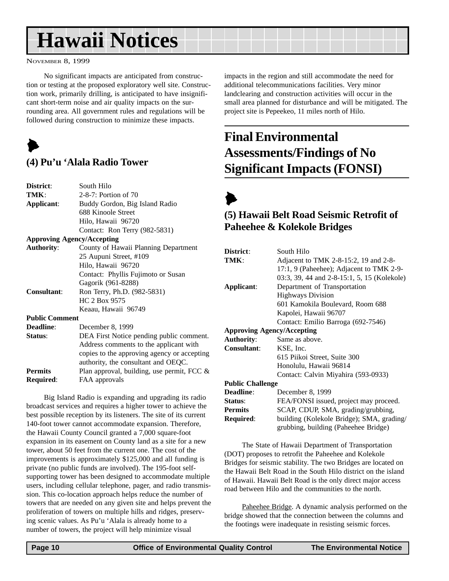## <span id="page-9-0"></span>**Hawaii Notices**

NOVEMBER 8, 1999

No significant impacts are anticipated from construction or testing at the proposed exploratory well site. Construction work, primarily drilling, is anticipated to have insignificant short-term noise and air quality impacts on the surrounding area. All government rules and regulations will be followed during construction to minimize these impacts.



#### **(4) Pu'u 'Alala Radio Tower**

**Required**: FAA approvals

| District:                                                 | South Hilo                                    |  |  |
|-----------------------------------------------------------|-----------------------------------------------|--|--|
| TMK:                                                      | 2-8-7: Portion of 70                          |  |  |
| Applicant:                                                | Buddy Gordon, Big Island Radio                |  |  |
|                                                           | 688 Kinoole Street                            |  |  |
|                                                           | Hilo, Hawaii 96720                            |  |  |
|                                                           | Contact: Ron Terry (982-5831)                 |  |  |
|                                                           | <b>Approving Agency/Accepting</b>             |  |  |
| <b>Authority:</b><br>County of Hawaii Planning Department |                                               |  |  |
|                                                           | 25 Aupuni Street, #109                        |  |  |
|                                                           | Hilo, Hawaii 96720                            |  |  |
|                                                           | Contact: Phyllis Fujimoto or Susan            |  |  |
|                                                           | Gagorik (961-8288)                            |  |  |
| <b>Consultant:</b>                                        | Ron Terry, Ph.D. (982-5831)                   |  |  |
| HC 2 Box 9575                                             |                                               |  |  |
|                                                           | Keaau, Hawaii 96749                           |  |  |
| <b>Public Comment</b>                                     |                                               |  |  |
| <b>Deadline:</b>                                          | December 8, 1999                              |  |  |
| Status:                                                   | DEA First Notice pending public comment.      |  |  |
|                                                           | Address comments to the applicant with        |  |  |
|                                                           | copies to the approving agency or accepting   |  |  |
|                                                           | authority, the consultant and OEQC.           |  |  |
| <b>Permits</b>                                            | Plan approval, building, use permit, FCC $\&$ |  |  |

Big Island Radio is expanding and upgrading its radio broadcast services and requires a higher tower to achieve the best possible reception by its listeners. The site of its current 140-foot tower cannot accommodate expansion. Therefore, the Hawaii County Council granted a 7,000 square-foot expansion in its easement on County land as a site for a new tower, about 50 feet from the current one. The cost of the improvements is approximately \$125,000 and all funding is private (no public funds are involved). The 195-foot selfsupporting tower has been designed to accommodate multiple users, including cellular telephone, pager, and radio transmission. This co-location approach helps reduce the number of towers that are needed on any given site and helps prevent the proliferation of towers on multiple hills and ridges, preserving scenic values. As Pu'u 'Alala is already home to a number of towers, the project will help minimize visual

impacts in the region and still accommodate the need for additional telecommunications facilities. Very minor landclearing and construction activities will occur in the small area planned for disturbance and will be mitigated. The project site is Pepeekeo, 11 miles north of Hilo.

## **Final Environmental Assessments/Findings of No Significant Impacts (FONSI)**



#### **(5) Hawaii Belt Road Seismic Retrofit of Paheehee & Kolekole Bridges**

| District:                         | South Hilo                                                                        |  |
|-----------------------------------|-----------------------------------------------------------------------------------|--|
| TMK:                              | Adjacent to TMK 2-8-15:2, 19 and 2-8-                                             |  |
|                                   | 17:1, 9 (Paheehee); Adjacent to TMK 2-9-                                          |  |
|                                   | 03:3, 39, 44 and 2-8-15:1, 5, 15 (Kolekole)                                       |  |
| Applicant:                        | Department of Transportation                                                      |  |
|                                   | <b>Highways Division</b>                                                          |  |
|                                   | 601 Kamokila Boulevard, Room 688                                                  |  |
|                                   | Kapolei, Hawaii 96707                                                             |  |
|                                   | Contact: Emilio Barroga (692-7546)                                                |  |
| <b>Approving Agency/Accepting</b> |                                                                                   |  |
| <b>Authority:</b>                 | Same as above.                                                                    |  |
| <b>Consultant:</b>                | KSE, Inc.                                                                         |  |
|                                   | 615 Piikoi Street, Suite 300                                                      |  |
|                                   | Honolulu, Hawaii 96814                                                            |  |
|                                   | Contact: Calvin Miyahira (593-0933)                                               |  |
| <b>Public Challenge</b>           |                                                                                   |  |
| <b>Deadline:</b>                  | December 8, 1999                                                                  |  |
| Status:                           | FEA/FONSI issued, project may proceed.                                            |  |
| <b>Permits</b>                    | SCAP, CDUP, SMA, grading/grubbing,                                                |  |
| Required:                         | building (Kolekole Bridge); SMA, grading/<br>grubbing, building (Paheehee Bridge) |  |

The State of Hawaii Department of Transportation (DOT) proposes to retrofit the Paheehee and Kolekole Bridges for seismic stability. The two Bridges are located on the Hawaii Belt Road in the South Hilo district on the island of Hawaii. Hawaii Belt Road is the only direct major access road between Hilo and the communities to the north.

Paheehee Bridge. A dynamic analysis performed on the bridge showed that the connection between the columns and the footings were inadequate in resisting seismic forces.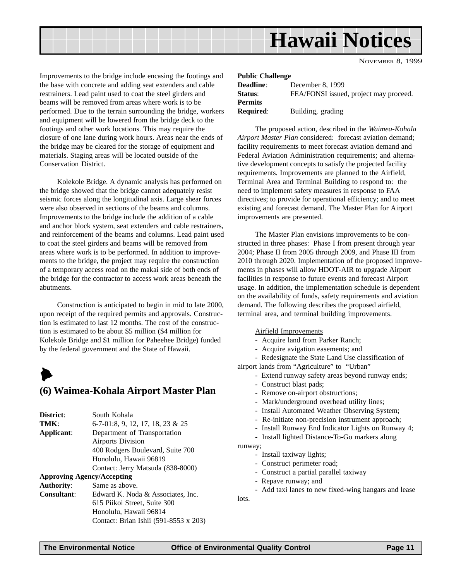**Hawaii Notices**

NOVEMBER 8, 1999

<span id="page-10-0"></span>Improvements to the bridge include encasing the footings and the base with concrete and adding seat extenders and cable restrainers. Lead paint used to coat the steel girders and beams will be removed from areas where work is to be performed. Due to the terrain surrounding the bridge, workers and equipment will be lowered from the bridge deck to the footings and other work locations. This may require the closure of one lane during work hours. Areas near the ends of the bridge may be cleared for the storage of equipment and materials. Staging areas will be located outside of the Conservation District.

Kolekole Bridge. A dynamic analysis has performed on the bridge showed that the bridge cannot adequately resist seismic forces along the longitudinal axis. Large shear forces were also observed in sections of the beams and columns. Improvements to the bridge include the addition of a cable and anchor block system, seat extenders and cable restrainers, and reinforcement of the beams and columns. Lead paint used to coat the steel girders and beams will be removed from areas where work is to be performed. In addition to improvements to the bridge, the project may require the construction of a temporary access road on the makai side of both ends of the bridge for the contractor to access work areas beneath the abutments.

Construction is anticipated to begin in mid to late 2000, upon receipt of the required permits and approvals. Construction is estimated to last 12 months. The cost of the construction is estimated to be about \$5 million (\$4 million for Kolekole Bridge and \$1 million for Paheehee Bridge) funded by the federal government and the State of Hawaii.

### $\blacktriangleright$ **(6) Waimea-Kohala Airport Master Plan**

**District**: South Kohala **TMK**: 6-7-01:8, 9, 12, 17, 18, 23 & 25 **Applicant**: Department of Transportation Airports Division 400 Rodgers Boulevard, Suite 700 Honolulu, Hawaii 96819 Contact: Jerry Matsuda (838-8000) **Approving Agency/Accepting Authority**: Same as above. **Consultant**: Edward K. Noda & Associates, Inc. 615 Piikoi Street, Suite 300 Honolulu, Hawaii 96814

Contact: Brian Ishii (591-8553 x 203)

| <b>Public Challenge</b> |                                        |  |  |
|-------------------------|----------------------------------------|--|--|
| <b>Deadline:</b>        | December 8, 1999                       |  |  |
| Status:                 | FEA/FONSI issued, project may proceed. |  |  |
| <b>Permits</b>          |                                        |  |  |
| <b>Required:</b>        | Building, grading                      |  |  |

The proposed action, described in the *Waimea-Kohala Airport Master Plan* considered: forecast aviation demand; facility requirements to meet forecast aviation demand and Federal Aviation Administration requirements; and alternative development concepts to satisfy the projected facility requirements. Improvements are planned to the Airfield, Terminal Area and Terminal Building to respond to: the need to implement safety measures in response to FAA directives; to provide for operational efficiency; and to meet existing and forecast demand. The Master Plan for Airport improvements are presented.

The Master Plan envisions improvements to be constructed in three phases: Phase I from present through year 2004; Phase II from 2005 through 2009, and Phase III from 2010 through 2020. Implementation of the proposed improvements in phases will allow HDOT-AIR to upgrade Airport facilities in response to future events and forecast Airport usage. In addition, the implementation schedule is dependent on the availability of funds, safety requirements and aviation demand. The following describes the proposed airfield, terminal area, and terminal building improvements.

#### Airfield Improvements

- Acquire land from Parker Ranch;
- Acquire avigation easements; and

- Redesignate the State Land Use classification of

airport lands from "Agriculture" to "Urban"

- Extend runway safety areas beyond runway ends;
- Construct blast pads;
- Remove on-airport obstructions;
- Mark/underground overhead utility lines;
- Install Automated Weather Observing System;
- Re-initiate non-precision instrument approach;
- Install Runway End Indicator Lights on Runway 4;
- Install lighted Distance-To-Go markers along

runway;

- Install taxiway lights;
- Construct perimeter road;
- Construct a partial parallel taxiway
- Repave runway; and

- Add taxi lanes to new fixed-wing hangars and lease lots.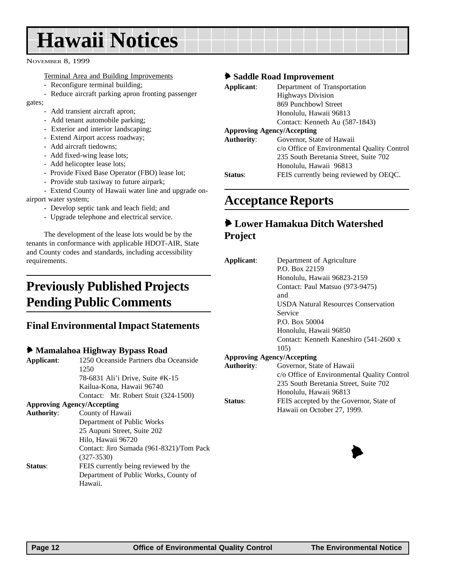## <span id="page-11-0"></span>**Hawaii Notices**

NOVEMBER 8, 1999

Terminal Area and Building Improvements

- Reconfigure terminal building;
- Reduce aircraft parking apron fronting passenger

gates;

- Add transient aircraft apron;
- Add tenant automobile parking;
- Exterior and interior landscaping;
- Extend Airport access roadway;
- Add aircraft tiedowns;
- Add fixed-wing lease lots;
- Add helicopter lease lots;
- Provide Fixed Base Operator (FBO) lease lot;
- Provide stub taxiway to future airpark;

- Extend County of Hawaii water line and upgrade onairport water system;

- Develop septic tank and leach field; and
- Upgrade telephone and electrical service.

The development of the lease lots would be by the tenants in conformance with applicable HDOT-AIR, State and County codes and standards, including accessibility requirements.

### **Previously Published Projects Pending Public Comments**

#### **Final Environmental Impact Statements**

#### 6 **Mamalahoa Highway Bypass Road**

| Applicant:                            | 1250 Oceanside Partners dha Oceanside    |  |  |  |
|---------------------------------------|------------------------------------------|--|--|--|
|                                       | 1250                                     |  |  |  |
|                                       | 78-6831 Ali'i Drive, Suite #K-15         |  |  |  |
|                                       | Kailua-Kona, Hawaii 96740                |  |  |  |
|                                       | Contact: Mr. Robert Stuit (324-1500)     |  |  |  |
|                                       | <b>Approving Agency/Accepting</b>        |  |  |  |
| <b>Authority:</b>                     | County of Hawaii                         |  |  |  |
|                                       | Department of Public Works               |  |  |  |
|                                       | 25 Aupuni Street, Suite 202              |  |  |  |
|                                       | Hilo, Hawaii 96720                       |  |  |  |
|                                       | Contact: Jiro Sumada (961-8321)/Tom Pack |  |  |  |
|                                       | $(327 - 3530)$                           |  |  |  |
| Status:                               | FEIS currently being reviewed by the     |  |  |  |
| Department of Public Works, County of |                                          |  |  |  |
|                                       | Hawaii.                                  |  |  |  |

#### 6 **Saddle Road Improvement**

| Applicant:          | Department of Transportation                |  |  |  |
|---------------------|---------------------------------------------|--|--|--|
|                     | <b>Highways Division</b>                    |  |  |  |
|                     | 869 Punchbowl Street                        |  |  |  |
|                     | Honolulu, Hawaii 96813                      |  |  |  |
|                     | Contact: Kenneth Au (587-1843)              |  |  |  |
|                     | <b>Approving Agency/Accepting</b>           |  |  |  |
| <b>Authority:</b>   | Governor, State of Hawaii                   |  |  |  |
|                     | c/o Office of Environmental Quality Control |  |  |  |
|                     | 235 South Beretania Street, Suite 702       |  |  |  |
|                     | Honolulu, Hawaii 96813                      |  |  |  |
| Status <sup>.</sup> | FEIS currently being reviewed by OEQC.      |  |  |  |

### **Acceptance Reports**

#### 6 **Lower Hamakua Ditch Watershed Project**

| Applicant:                        | Department of Agriculture                   |  |
|-----------------------------------|---------------------------------------------|--|
|                                   | P.O. Box 22159                              |  |
|                                   | Honolulu, Hawaii 96823-2159                 |  |
|                                   | Contact: Paul Matsuo (973-9475)             |  |
|                                   | and                                         |  |
|                                   | <b>USDA Natural Resources Conservation</b>  |  |
|                                   | Service                                     |  |
|                                   | P.O. Box 50004                              |  |
|                                   | Honolulu, Hawaii 96850                      |  |
|                                   | Contact: Kenneth Kaneshiro (541-2600 x      |  |
|                                   | 105)                                        |  |
| <b>Approving Agency/Accepting</b> |                                             |  |
| <b>Authority:</b>                 | Governor, State of Hawaii                   |  |
|                                   | c/o Office of Environmental Quality Control |  |
|                                   | 235 South Beretania Street, Suite 702       |  |
|                                   | Honolulu, Hawaii 96813                      |  |
| <b>Status:</b>                    | FEIS accepted by the Governor, State of     |  |
|                                   | Hawaii on October 27, 1999.                 |  |
|                                   |                                             |  |

 $\blacktriangleright$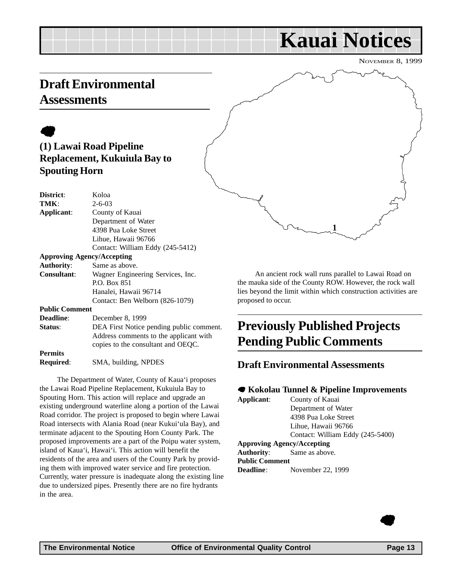## **Kauai Notices**

NOVEMBER 8, 1999

### <span id="page-12-0"></span>**Draft Environmental Assessments**

### $\bullet$ **(1) Lawai Road Pipeline Replacement, Kukuiula Bay to Spouting Horn**

| District:                                               | Koloa                            |  |  |
|---------------------------------------------------------|----------------------------------|--|--|
| TMK:                                                    | $2 - 6 - 03$                     |  |  |
| Applicant:                                              | County of Kauai                  |  |  |
|                                                         | Department of Water              |  |  |
|                                                         | 4398 Pua Loke Street             |  |  |
|                                                         | Lihue, Hawaii 96766              |  |  |
|                                                         | Contact: William Eddy (245-5412) |  |  |
| <b>Approving Agency/Accepting</b>                       |                                  |  |  |
| <b>Authority:</b>                                       | Same as above.                   |  |  |
| <b>Consultant:</b><br>Wagner Engineering Services, Inc. |                                  |  |  |
|                                                         | P.O. Box 851                     |  |  |
|                                                         | Hanalei, Hawaii 96714            |  |  |
|                                                         | Contact: Ben Welborn (826-1079)  |  |  |
| <b>Public Comment</b>                                   |                                  |  |  |
| Deadline:                                               | December 8, 1999                 |  |  |

| <b>Deadline:</b> | December 8, 1999                                                             |  |
|------------------|------------------------------------------------------------------------------|--|
| Status:          | DEA First Notice pending public comment.                                     |  |
|                  | Address comments to the applicant with<br>copies to the consultant and OEOC. |  |
| <b>Permits</b>   |                                                                              |  |
| <b>Required:</b> | SMA, building, NPDES                                                         |  |

The Department of Water, County of Kaua'i proposes the Lawai Road Pipeline Replacement, Kukuiula Bay to Spouting Horn. This action will replace and upgrade an existing underground waterline along a portion of the Lawai Road corridor. The project is proposed to begin where Lawai Road intersects with Alania Road (near Kukui'ula Bay), and terminate adjacent to the Spouting Horn County Park. The proposed improvements are a part of the Poipu water system, island of Kaua'i, Hawai'i. This action will benefit the residents of the area and users of the County Park by providing them with improved water service and fire protection. Currently, water pressure is inadequate along the existing line due to undersized pipes. Presently there are no fire hydrants in the area.



An ancient rock wall runs parallel to Lawai Road on the mauka side of the County ROW. However, the rock wall lies beyond the limit within which construction activities are proposed to occur.

## **Previously Published Projects Pending Public Comments**

#### **Draft Environmental Assessments**

#### 7 **Kokolau Tunnel & Pipeline Improvements**

| Applicant:            | County of Kauai                   |  |
|-----------------------|-----------------------------------|--|
|                       | Department of Water               |  |
|                       | 4398 Pua Loke Street              |  |
|                       | Lihue, Hawaii 96766               |  |
|                       | Contact: William Eddy (245-5400)  |  |
|                       | <b>Approving Agency/Accepting</b> |  |
|                       | <b>Authority:</b> Same as above.  |  |
| <b>Public Comment</b> |                                   |  |
| <b>Deadline:</b>      | November 22, 1999                 |  |
|                       |                                   |  |

 $\bullet$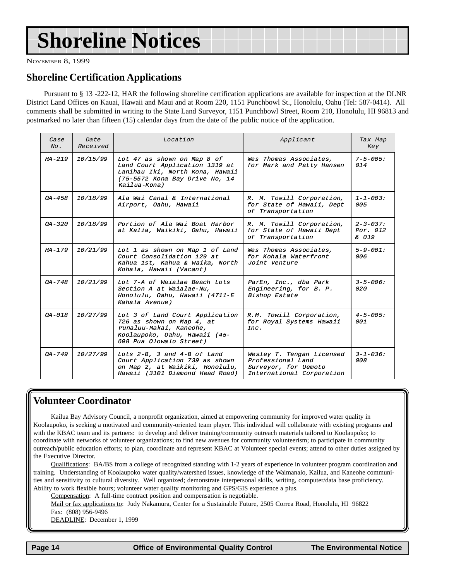## <span id="page-13-0"></span>**Shoreline Notices**

NOVEMBER 8, 1999

#### **Shoreline Certification Applications**

Pursuant to § 13 -222-12, HAR the following shoreline certification applications are available for inspection at the DLNR District Land Offices on Kauai, Hawaii and Maui and at Room 220, 1151 Punchbowl St., Honolulu, Oahu (Tel: 587-0414). All comments shall be submitted in writing to the State Land Surveyor, 1151 Punchbowl Street, Room 210, Honolulu, HI 96813 and postmarked no later than fifteen (15) calendar days from the date of the public notice of the application.

| Case<br>$N_O$ . | Date<br>Received | Location                                                                                                                                             | Applicant                                                                                           | Tax Map<br>Key                       |
|-----------------|------------------|------------------------------------------------------------------------------------------------------------------------------------------------------|-----------------------------------------------------------------------------------------------------|--------------------------------------|
| $HA-219$        | 10/15/99         | Lot 47 as shown on Map 8 of<br>Land Court Application 1319 at<br>Lanihau Iki, North Kona, Hawaii<br>$(75-5572$ Kona Bay Drive No, 14<br>Kailua-Kona) | Wes Thomas Associates.<br>for Mark and Patty Hansen                                                 | $7 - 5 - 005$ :<br>014               |
| $OA - 458$      | 10/18/99         | Ala Wai Canal & International<br>Airport, Oahu, Hawaii                                                                                               | R. M. Towill Corporation,<br>for State of Hawaii, Dept<br>of Transportation                         | $1 - 1 - 003$ :<br>005               |
| $OA - 320$      | 10/18/99         | Portion of Ala Wai Boat Harbor<br>at Kalia, Waikiki, Oahu, Hawaii                                                                                    | R. M. Towill Corporation,<br>for State of Hawaii Dept<br>of Transportation                          | $2 - 3 - 0.37:$<br>Por. 012<br>& 019 |
| $HA - 179$      | 10/21/99         | Lot 1 as shown on Map 1 of Land<br>Court Consolidation 129 at<br>Kahua 1st, Kahua & Waika, North<br>Kohala, Hawaii (Vacant)                          | Wes Thomas Associates.<br>for Kohala Waterfront<br>Joint Venture                                    | $5 - 9 - 001$ :<br>006               |
| $OA - 748$      | 10/21/99         | Lot 7-A of Waialae Beach Lots<br>Section A at Waialae-Nu,<br>Honolulu, Oahu, Hawaii (4711-E<br>Kahala Avenue)                                        | ParEn, Inc., dba Park<br>Engineering, for B. P.<br>Bishop Estate                                    | $3 - 5 - 006$ :<br>020               |
| $0A - 018$      | 10/27/99         | Lot 3 of Land Court Application<br>726 as shown on Map 4, at<br>Punaluu-Makai, Kaneohe,<br>Koolaupoko, Oahu, Hawaii (45-<br>698 Pua Olowalo Street)  | R.M. Towill Corporation,<br>for Royal Systems Hawaii<br>Inc.                                        | $4 - 5 - 005$ :<br>001               |
| $0A - 749$      | 10/27/99         | Lots $2-B$ , 3 and $4-B$ of Land<br>Court Application 739 as shown<br>on Map 2, at Waikiki, Honolulu,<br>Hawaii (3101 Diamond Head Road)             | Wesley T. Tengan Licensed<br>Professional Land<br>Surveyor, for Uemoto<br>International Corporation | $3 - 1 - 0.36$ :<br>008              |

#### **Volunteer Coordinator**

Kailua Bay Advisory Council, a nonprofit organization, aimed at empowering community for improved water quality in Koolaupoko, is seeking a motivated and community-oriented team player. This individual will collaborate with existing programs and with the KBAC team and its partners: to develop and deliver training/community outreach materials tailored to Koolaupoko; to coordinate with networks of volunteer organizations; to find new avenues for community volunteerism; to participate in community outreach/public education efforts; to plan, coordinate and represent KBAC at Volunteer special events; attend to other duties assigned by the Executive Director.

Qualifications: BA/BS from a college of recognized standing with 1-2 years of experience in volunteer program coordination and training. Understanding of Koolaupoko water quality/watershed issues, knowledge of the Waimanalo, Kailua, and Kaneohe communities and sensitivity to cultural diversity. Well organized; demonstrate interpersonal skills, writing, computer/data base proficiency. Ability to work flexible hours; volunteer water quality monitoring and GPS/GIS experience a plus.

Compensation: A full-time contract position and compensation is negotiable.

Mail or fax applications to: Judy Nakamura, Center for a Sustainable Future, 2505 Correa Road, Honolulu, HI 96822 Fax: (808) 956-9496

DEADLINE: December 1, 1999

 **Page 14 Control Control Control Control Page 14 Control Control Control Page 14 The Environmental Notice**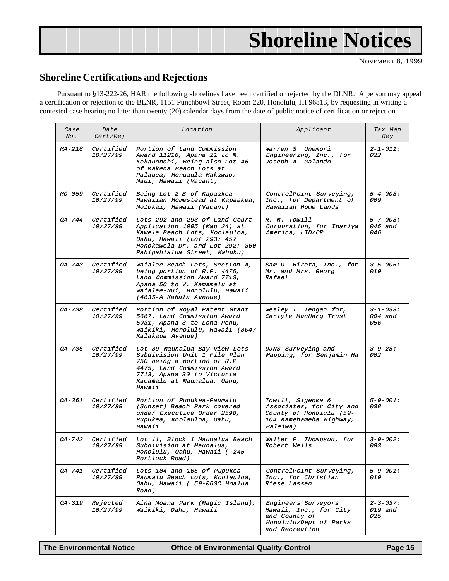<span id="page-14-0"></span>

|  | <b>Shoreline Notices</b> |
|--|--------------------------|
|  |                          |

#### **Shoreline Certifications and Rejections**

Pursuant to §13-222-26, HAR the following shorelines have been certified or rejected by the DLNR. A person may appeal a certification or rejection to the BLNR, 1151 Punchbowl Street, Room 220, Honolulu, HI 96813, by requesting in writing a contested case hearing no later than twenty (20) calendar days from the date of public notice of certification or rejection.

| Case<br>No. | Date<br><i>Cert/Rej</i> | Location                                                                                                                                                                                           | Applicant                                                                                                       | Tax Map<br>Key                    |
|-------------|-------------------------|----------------------------------------------------------------------------------------------------------------------------------------------------------------------------------------------------|-----------------------------------------------------------------------------------------------------------------|-----------------------------------|
| $MA-216$    | Certified<br>10/27/99   | Portion of Land Commission<br>Award 11216, Apana 21 to M.<br>Kekauonohi, Being also Lot 46<br>of Makena Beach Lots at<br>Palauea, Honuaula Makawao,<br>Maui, Hawaii (Vacant)                       | Warren S. Unemori<br>Engineering, Inc., for<br>Joseph A. Galando                                                | $2 - 1 - 011:$<br><i>022</i>      |
| $MO - 059$  | Certified<br>10/27/99   | Being Lot 2-B of Kapaakea<br>Hawaiian Homestead at Kapaakea,<br>Molokai, Hawaii (Vacant)                                                                                                           | ControlPoint Surveying,<br>Inc., for Department of<br>Hawaiian Home Lands                                       | $5 - 4 - 003$ :<br>009            |
| $OA - 744$  | Certified<br>10/27/99   | Lots 292 and 293 of Land Court<br>Application 1095 (Map 24) at<br>Kawela Beach Lots, Koolauloa,<br>Oahu, Hawaii (Lot 293: 457<br>Honokawela Dr. and Lot 292: 360<br>Pahipahialua Street, Kahuku)   | R. M. Towill<br>Corporation, for Inariya<br>America, LTD/CR                                                     | $5 - 7 - 003:$<br>045 and<br>046  |
| $OA - 743$  | Certified<br>10/27/99   | Waialae Beach Lots, Section A,<br>being portion of R.P. 4475,<br>Land Commission Award 7713,<br>Apana 50 to V. Kamamalu at<br>Waialae-Nui, Honolulu, Hawaii<br>(4635-A Kahala Avenue)              | Sam O. Hirota, Inc., for<br>Mr. and Mrs. Georg<br>Rafael                                                        | $3 - 5 - 005$ :<br><i>010</i>     |
| $OA - 738$  | Certified<br>10/27/99   | Portion of Royal Patent Grant<br>5667. Land Commission Award<br>5931, Apana 3 to Lona Pehu,<br>Waikiki, Honolulu, Hawaii (3047<br>Kalakaua Avenue)                                                 | Wesley T. Tengan for,<br>Carlyle MacHarg Trust                                                                  | $3 - 1 - 033:$<br>004 and<br>056  |
| $OA - 736$  | Certified<br>10/27/99   | Lot 39 Maunalua Bay View Lots<br>Subdivision Unit 1 File Plan<br>750 being a portion of R.P.<br>4475, Land Commission Award<br>7713, Apana 30 to Victoria<br>Kamamalu at Maunalua, Oahu,<br>Hawaii | DJNS Surveying and<br>Mapping, for Benjamin Ha                                                                  | $3 - 9 - 28:$<br>002              |
| OA-361      | Certified<br>10/27/99   | Portion of Pupukea-Paumalu<br>(Sunset) Beach Park covered<br>under Executive Order 2598,<br>Pupukea, Koolauloa, Oahu,<br>Hawaii                                                                    | Towill, Sigeoka &<br>Associates, for City and<br>County of Honolulu (59-<br>104 Kamehameha Highway,<br>Haleiwa) | $5 - 9 - 001$ :<br>038            |
| OA-742      | Certified<br>10/27/99   | Lot 11, Block 1 Maunalua Beach<br>Subdivision at Maunalua,<br>Honolulu, Oahu, Hawaii (245<br>Portlock Road)                                                                                        | Walter P. Thompson, for<br>Robert Wells                                                                         | $3 - 9 - 002$ :<br>003            |
| $OA - 741$  | Certified<br>10/27/99   | Lots 104 and 105 of Pupukea-<br>Paumalu Beach Lots, Koolauloa,<br>Oahu, Hawaii ( 59-063C Hoalua<br>Road)                                                                                           | ControlPoint Surveying,<br>Inc., for Christian<br><i>Riese Lassen</i>                                           | $5 - 9 - 001$ :<br>010            |
| $OA - 319$  | Rejected<br>10/27/99    | Aina Moana Park (Magic Island),<br>Waikiki, Oahu, Hawaii                                                                                                                                           | Engineers Surveyors<br>Hawaii, Inc., for City<br>and County of<br>Honolulu/Dept of Parks<br>and Recreation      | $2 - 3 - 037$ :<br>019 and<br>025 |

**The Environmental Notice Office of Environmental Quality Control Page 15**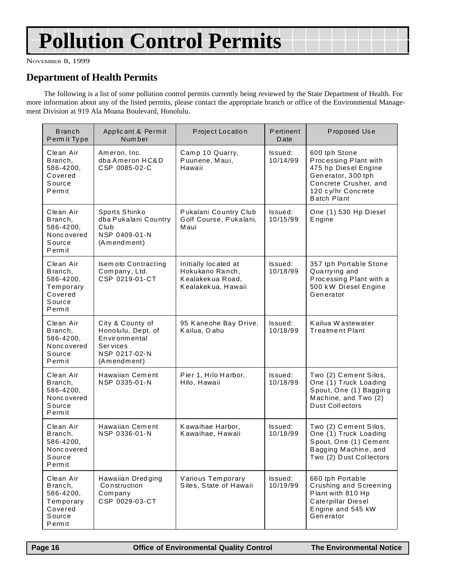## **Pollution Control Permits**

NOVEMBER 8, 1999

#### **Department of Health Permits**

The following is a list of some pollution control permits currently being reviewed by the State Department of Health. For more information about any of the listed permits, please contact the appropriate branch or office of the Environmental Management Division at 919 Ala Moana Boulevard, Honolulu.

| <b>Branch</b><br>Perm it Type                                                 | Applicant & Permit<br>Num ber                                                                                  | Project Location                                                                  | Pertinent<br><b>D</b> ate | Proposed Use                                                                                                                                              |
|-------------------------------------------------------------------------------|----------------------------------------------------------------------------------------------------------------|-----------------------------------------------------------------------------------|---------------------------|-----------------------------------------------------------------------------------------------------------------------------------------------------------|
| Clean Air<br>Branch,<br>586-4200,<br>Covered<br>Source<br>Permit              | Ameron, Inc.<br>dba Ameron HC&D<br>CSP 0085-02-C                                                               | Camp 10 Quarry,<br>Puunene, Maui,<br>Hawaii                                       | Issued:<br>10/14/99       | 600 tph Stone<br>Processing Plant with<br>475 hp Diesel Engine<br>Generator, 300 tph<br>Concrete Crusher, and<br>120 cy/hr Concrete<br><b>Batch Plant</b> |
| Clean Air<br>Branch,<br>586-4200,<br>Noncovered<br>Source<br>Permit           | Sports Shinko<br>dba Pukalani Country<br>Club<br>NSP 0409-01-N<br>(Amendment)                                  | Pukalani Country Club<br>Golf Course, Pukalani,<br>Maui                           | Issued:<br>10/15/99       | One (1) 530 Hp Diesel<br>Engine                                                                                                                           |
| Clean Air<br>Branch,<br>586-4200,<br>Temporary<br>Covered<br>Source<br>Permit | Isem oto Contracting<br>Company, Ltd.<br>CSP 0219-01-CT                                                        | Initially located at<br>Hokukano Ranch,<br>Kealakekua Road,<br>Kealakekua, Hawaii | Issued:<br>10/18/99       | 357 tph Portable Stone<br>Quarrying and<br>Processing Plant with a<br>500 kW Diesel Engine<br>Generator                                                   |
| Clean Air<br>Branch,<br>586-4200,<br>Noncovered<br>Source<br>Permit           | City & County of<br>Honolulu, Dept. of<br>Environmental<br><b>Services</b><br>NSP 0217-02-N<br>(A m end m ent) | 95 Kaneohe Bay Drive,<br>Kailua, Oahu                                             | Issued:<br>10/18/99       | Kailua Wastewater<br><b>Treatment Plant</b>                                                                                                               |
| Clean Air<br>Branch,<br>586-4200,<br>Noncovered<br>Source<br>Permit           | Hawaiian Cement<br>NSP 0335-01-N                                                                               | Pier 1, Hilo Harbor,<br>Hilo, Hawaii                                              | Issued:<br>10/18/99       | Two (2) Cement Silos,<br>One (1) Truck Loading<br>Spout, One (1) Bagging<br>Machine, and Two (2)<br><b>Dust Collectors</b>                                |
| Clean Air<br>Branch,<br>586-4200,<br>Noncovered<br>Source<br>Permit           | Hawaiian Cement<br>NSP 0336-01-N                                                                               | Kawaihae Harbor,<br>Kawaihae, Hawaii                                              | Issued:<br>10/18/99       | Two (2) Cement Silos,<br>One (1) Truck Loading<br>Spout, One (1) Cement<br>Bagging Machine, and<br>Two (2) Dust Collectors                                |
| Clean Air<br>Branch,<br>586-4200,<br>Temporary<br>Covered<br>Source<br>Permit | Hawaiian Dredging<br>Construction<br>Company<br>CSP 0029-03-CT                                                 | Various Temporary<br>Sites, State of Hawaii                                       | Issued:<br>10/19/99       | 660 tph Portable<br>Crushing and Screening<br>Plant with 810 Hp<br>Caterpillar Diesel<br>Engine and 545 kW<br>Generator                                   |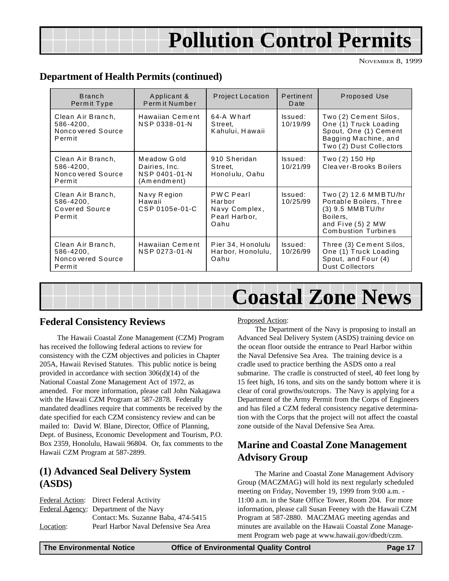## **Pollution Control Permits**

NOVEMBER 8, 1999

#### <span id="page-16-0"></span>**Department of Health Permits (continued)**

| <b>Branch</b><br>Permit Type                                   | Applicant &<br>Perm it Number                                | Project Location                                                     | Pertinent<br>Date   | Proposed Use                                                                                                                          |
|----------------------------------------------------------------|--------------------------------------------------------------|----------------------------------------------------------------------|---------------------|---------------------------------------------------------------------------------------------------------------------------------------|
| Clean Air Branch,<br>586-4200,<br>Nonco vered Source<br>Permit | Hawaiian Cement<br>NSP 0338-01-N                             | 64-A Wharf<br>Street,<br>Kahului, Hawaii                             | Issued:<br>10/19/99 | Two (2) Cement Silos,<br>One (1) Truck Loading<br>Spout, One (1) Cement<br>Bagging Machine, and<br>Two (2) Dust Collectors            |
| Clean Air Branch,<br>586-4200.<br>Nonco vered Source<br>Permit | Meadow Gold<br>Dairies, Inc.<br>NSP 0401-01-N<br>(Amendment) | 910 Sheridan<br>Street,<br>Honolulu, Oahu                            | Issued:<br>10/21/99 | Two (2) 150 Hp<br>Cleaver-Brooks Boilers                                                                                              |
| Clean Air Branch,<br>586-4200,<br>Covered Source<br>Permit     | Navy Region<br>Hawaii<br>CSP 0105e-01-C                      | <b>PWC Pearl</b><br>Harbor<br>Navy Complex,<br>Pearl Harbor,<br>Oahu | Issued:<br>10/25/99 | Two (2) 12.6 MMBTU/hr<br>Portable Boilers, Three<br>$(3)$ 9.5 MMBTU/hr<br>Boilers,<br>and Five (5) 2 MW<br><b>Combustion Turbines</b> |
| Clean Air Branch,<br>586-4200,<br>Nonco vered Source<br>Permit | Hawaiian Cement<br>NSP 0273-01-N                             | Pier 34, Honolulu<br>Harbor, Honolulu,<br>Oahu                       | Issued:<br>10/26/99 | Three (3) Cement Silos,<br>One (1) Truck Loading<br>Spout, and Four (4)<br>Dust Collectors                                            |

|--|

#### **Federal Consistency Reviews**

The Hawaii Coastal Zone Management (CZM) Program has received the following federal actions to review for consistency with the CZM objectives and policies in Chapter 205A, Hawaii Revised Statutes. This public notice is being provided in accordance with section 306(d)(14) of the National Coastal Zone Management Act of 1972, as amended. For more information, please call John Nakagawa with the Hawaii CZM Program at 587-2878. Federally mandated deadlines require that comments be received by the date specified for each CZM consistency review and can be mailed to: David W. Blane, Director, Office of Planning, Dept. of Business, Economic Development and Tourism, P.O. Box 2359, Honolulu, Hawaii 96804. Or, fax comments to the Hawaii CZM Program at 587-2899.

#### **(1) Advanced Seal Delivery System (ASDS)**

|           | <b>Federal Action:</b> Direct Federal Activity |
|-----------|------------------------------------------------|
|           | <b>Federal Agency:</b> Department of the Navy  |
|           | Contact: Ms. Suzanne Baba, 474-5415            |
| Location: | Pearl Harbor Naval Defensive Sea Area          |

Proposed Action:

The Department of the Navy is proposing to install an Advanced Seal Delivery System (ASDS) training device on the ocean floor outside the entrance to Pearl Harbor within the Naval Defensive Sea Area. The training device is a cradle used to practice berthing the ASDS onto a real submarine. The cradle is constructed of steel, 40 feet long by 15 feet high, 16 tons, and sits on the sandy bottom where it is clear of coral growths/outcrops. The Navy is applying for a Department of the Army Permit from the Corps of Engineers and has filed a CZM federal consistency negative determination with the Corps that the project will not affect the coastal zone outside of the Naval Defensive Sea Area.

#### **Marine and Coastal Zone Management Advisory Group**

The Marine and Coastal Zone Management Advisory Group (MACZMAG) will hold its next regularly scheduled meeting on Friday, November 19, 1999 from 9:00 a.m. - 11:00 a.m. in the State Office Tower, Room 204. For more information, please call Susan Feeney with the Hawaii CZM Program at 587-2880. MACZMAG meeting agendas and minutes are available on the Hawaii Coastal Zone Management Program web page at www.hawaii.gov/dbedt/czm.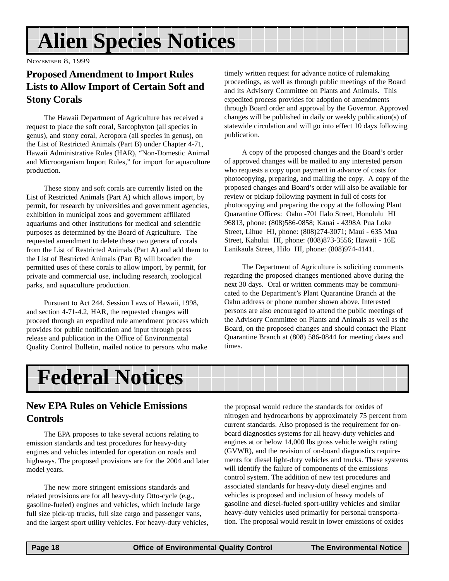## **Alien Species Notices**

NOVEMBER 8, 1999

#### **Proposed Amendment to Import Rules Lists to Allow Import of Certain Soft and Stony Corals**

The Hawaii Department of Agriculture has received a request to place the soft coral, Sarcophyton (all species in genus), and stony coral, Acropora (all species in genus), on the List of Restricted Animals (Part B) under Chapter 4-71, Hawaii Administrative Rules (HAR), "Non-Domestic Animal and Microorganism Import Rules," for import for aquaculture production.

These stony and soft corals are currently listed on the List of Restricted Animals (Part A) which allows import, by permit, for research by universities and government agencies, exhibition in municipal zoos and government affiliated aquariums and other institutions for medical and scientific purposes as determined by the Board of Agriculture. The requested amendment to delete these two genera of corals from the List of Restricted Animals (Part A) and add them to the List of Restricted Animals (Part B) will broaden the permitted uses of these corals to allow import, by permit, for private and commercial use, including research, zoological parks, and aquaculture production.

Pursuant to Act 244, Session Laws of Hawaii, 1998, and section 4-71-4.2, HAR, the requested changes will proceed through an expedited rule amendment process which provides for public notification and input through press release and publication in the Office of Environmental Quality Control Bulletin, mailed notice to persons who make timely written request for advance notice of rulemaking proceedings, as well as through public meetings of the Board and its Advisory Committee on Plants and Animals. This expedited process provides for adoption of amendments through Board order and approval by the Governor. Approved changes will be published in daily or weekly publication(s) of statewide circulation and will go into effect 10 days following publication.

A copy of the proposed changes and the Board's order of approved changes will be mailed to any interested person who requests a copy upon payment in advance of costs for photocopying, preparing, and mailing the copy. A copy of the proposed changes and Board's order will also be available for review or pickup following payment in full of costs for photocopying and preparing the copy at the following Plant Quarantine Offices: Oahu -701 Ilalo Street, Honolulu HI 96813, phone: (808)586-0858; Kauai - 4398A Pua Loke Street, Lihue HI, phone: (808)274-3071; Maui - 635 Mua Street, Kahului HI, phone: (808)873-3556; Hawaii - 16E Lanikaula Street, Hilo HI, phone: (808)974-4141.

The Department of Agriculture is soliciting comments regarding the proposed changes mentioned above during the next 30 days. Oral or written comments may be communicated to the Department's Plant Quarantine Branch at the Oahu address or phone number shown above. Interested persons are also encouraged to attend the public meetings of the Advisory Committee on Plants and Animals as well as the Board, on the proposed changes and should contact the Plant Quarantine Branch at (808) 586-0844 for meeting dates and times.



#### **New EPA Rules on Vehicle Emissions Controls**

The EPA proposes to take several actions relating to emission standards and test procedures for heavy-duty engines and vehicles intended for operation on roads and highways. The proposed provisions are for the 2004 and later model years.

The new more stringent emissions standards and related provisions are for all heavy-duty Otto-cycle (e.g., gasoline-fueled) engines and vehicles, which include large full size pick-up trucks, full size cargo and passenger vans, and the largest sport utility vehicles. For heavy-duty vehicles,

the proposal would reduce the standards for oxides of nitrogen and hydrocarbons by approximately 75 percent from current standards. Also proposed is the requirement for onboard diagnostics systems for all heavy-duty vehicles and engines at or below 14,000 lbs gross vehicle weight rating (GVWR), and the revision of on-board diagnostics requirements for diesel light-duty vehicles and trucks. These systems will identify the failure of components of the emissions control system. The addition of new test procedures and associated standards for heavy-duty diesel engines and vehicles is proposed and inclusion of heavy models of gasoline and diesel-fueled sport-utility vehicles and similar heavy-duty vehicles used primarily for personal transportation. The proposal would result in lower emissions of oxides